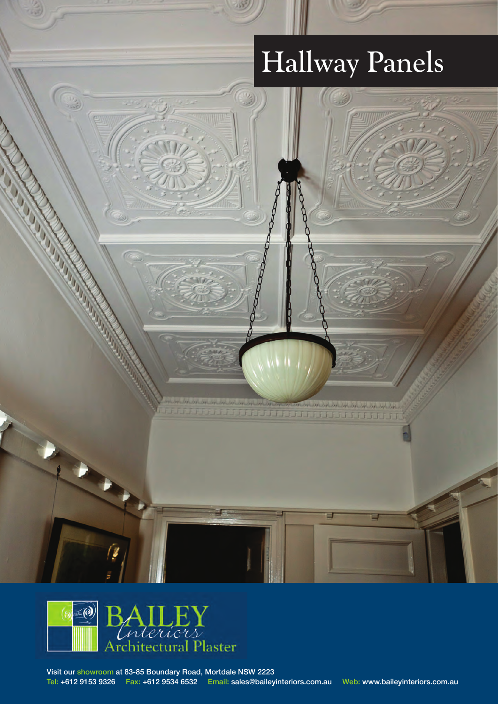# Hallway Panels

10 100 100 100 100 100 JJJJ 2001 100 100 100 100 100 100

 $\frac{\left\langle \frac{1}{2} \right\rangle}{\left\langle \frac{1}{2} \right\rangle}$ 



Visit our showroom at 83-85 Boundary Road, Mortdale NSW 2223 Tel: +612 9153 9326 Fax: +612 9534 6532 Email: sales@baileyinteriors.com.au Web: www.baileyinteriors.com.au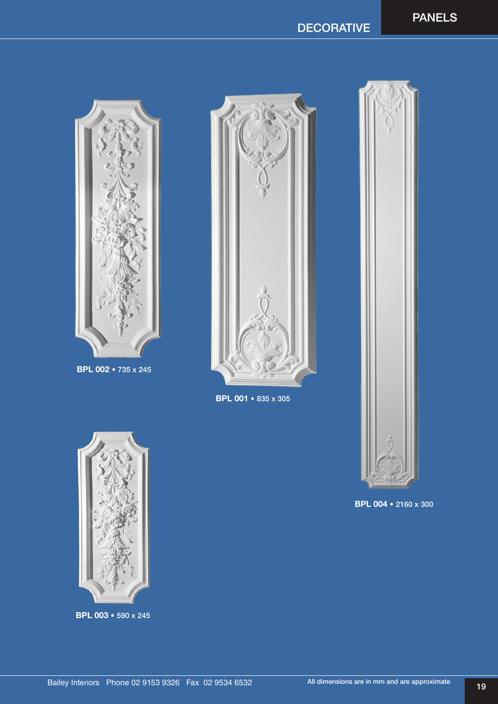## DECORATIVE



BPL 002 • 735 x 245



BPL 001 • 835 x 305



BPL 004 • 2160 x 300



BPL 003 • 590 x 245